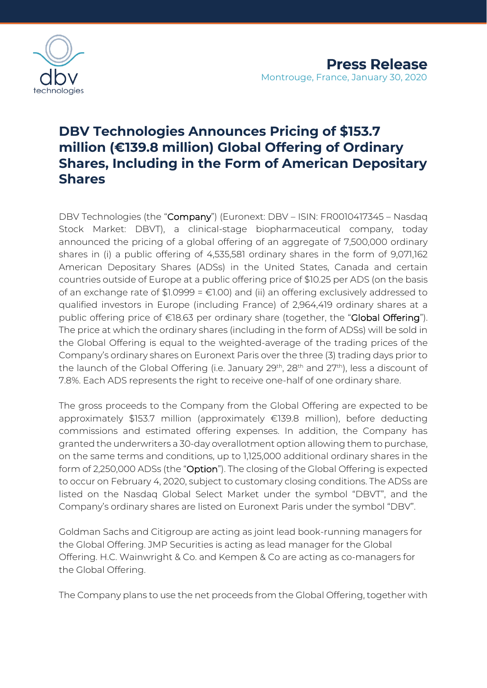

# **DBV Technologies Announces Pricing of \$153.7 million (€139.8 million) Global Offering of Ordinary Shares, Including in the Form of American Depositary Shares**

DBV Technologies (the "Company") (Euronext: DBV – ISIN: FR0010417345 – Nasdaq Stock Market: DBVT), a clinical-stage biopharmaceutical company, today announced the pricing of a global offering of an aggregate of 7,500,000 ordinary shares in (i) a public offering of 4,535,581 ordinary shares in the form of 9,071,162 American Depositary Shares (ADSs) in the United States, Canada and certain countries outside of Europe at a public offering price of \$10.25 per ADS (on the basis of an exchange rate of  $$1.0999 = £1.00$  and (ii) an offering exclusively addressed to qualified investors in Europe (including France) of 2,964,419 ordinary shares at a public offering price of €18.63 per ordinary share (together, the "**Global Offering**"). The price at which the ordinary shares (including in the form of ADSs) will be sold in the Global Offering is equal to the weighted-average of the trading prices of the Company's ordinary shares on Euronext Paris over the three (3) trading days prior to the launch of the Global Offering (i.e. January 29<sup>th</sup>, 28<sup>th</sup> and 27<sup>th</sup>), less a discount of 7.8%. Each ADS represents the right to receive one-half of one ordinary share.

The gross proceeds to the Company from the Global Offering are expected to be approximately \$153.7 million (approximately €139.8 million), before deducting commissions and estimated offering expenses. In addition, the Company has granted the underwriters a 30-day overallotment option allowing them to purchase, on the same terms and conditions, up to 1,125,000 additional ordinary shares in the form of 2,250,000 ADSs (the "Option"). The closing of the Global Offering is expected to occur on February 4, 2020, subject to customary closing conditions. The ADSs are listed on the Nasdaq Global Select Market under the symbol "DBVT", and the Company's ordinary shares are listed on Euronext Paris under the symbol "DBV".

Goldman Sachs and Citigroup are acting as joint lead book-running managers for the Global Offering. JMP Securities is acting as lead manager for the Global Offering. H.C. Wainwright & Co. and Kempen & Co are acting as co-managers for the Global Offering.

The Company plans to use the net proceeds from the Global Offering, together with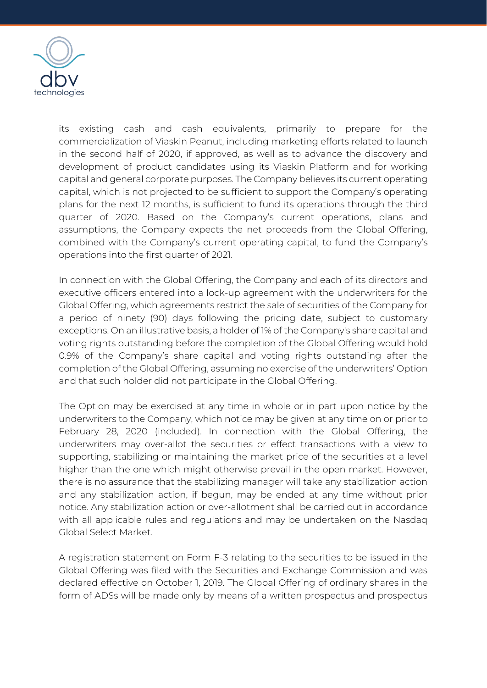

its existing cash and cash equivalents, primarily to prepare for the commercialization of Viaskin Peanut, including marketing efforts related to launch in the second half of 2020, if approved, as well as to advance the discovery and development of product candidates using its Viaskin Platform and for working capital and general corporate purposes. The Company believes its current operating capital, which is not projected to be sufficient to support the Company's operating plans for the next 12 months, is sufficient to fund its operations through the third quarter of 2020. Based on the Company's current operations, plans and assumptions, the Company expects the net proceeds from the Global Offering, combined with the Company's current operating capital, to fund the Company's operations into the first quarter of 2021.

In connection with the Global Offering, the Company and each of its directors and executive officers entered into a lock-up agreement with the underwriters for the Global Offering, which agreements restrict the sale of securities of the Company for a period of ninety (90) days following the pricing date, subject to customary exceptions. On an illustrative basis, a holder of 1% of the Company's share capital and voting rights outstanding before the completion of the Global Offering would hold 0.9% of the Company's share capital and voting rights outstanding after the completion of the Global Offering, assuming no exercise of the underwriters' Option and that such holder did not participate in the Global Offering.

The Option may be exercised at any time in whole or in part upon notice by the underwriters to the Company, which notice may be given at any time on or prior to February 28, 2020 (included). In connection with the Global Offering, the underwriters may over-allot the securities or effect transactions with a view to supporting, stabilizing or maintaining the market price of the securities at a level higher than the one which might otherwise prevail in the open market. However, there is no assurance that the stabilizing manager will take any stabilization action and any stabilization action, if begun, may be ended at any time without prior notice. Any stabilization action or over-allotment shall be carried out in accordance with all applicable rules and regulations and may be undertaken on the Nasdaq Global Select Market.

A registration statement on Form F-3 relating to the securities to be issued in the Global Offering was filed with the Securities and Exchange Commission and was declared effective on October 1, 2019. The Global Offering of ordinary shares in the form of ADSs will be made only by means of a written prospectus and prospectus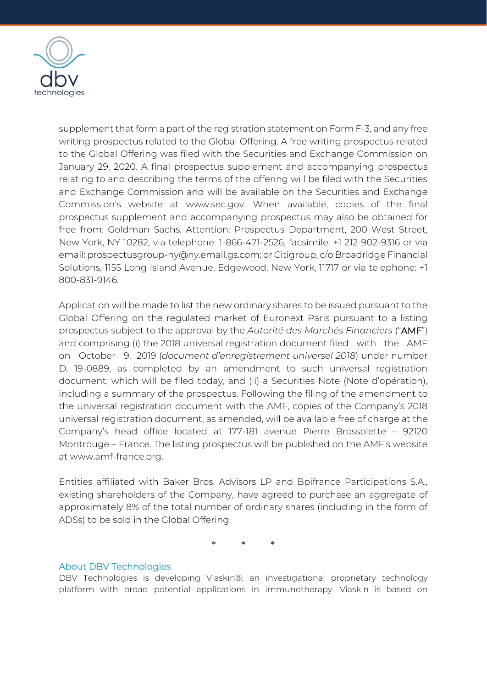

supplement that form a part of the registration statement on Form F-3, and any free writing prospectus related to the Global Offering. A free writing prospectus related to the Global Offering was filed with the Securities and Exchange Commission on January 29, 2020. A final prospectus supplement and accompanying prospectus relating to and describing the terms of the offering will be filed with the Securities and Exchange Commission and will be available on the Securities and Exchange Commission's website at [www.sec.gov.](http://www.sec.gov/) When available, copies of the final prospectus supplement and accompanying prospectus may also be obtained for free from: Goldman Sachs, Attention: Prospectus Department, 200 West Street, New York, NY 10282, via telephone: 1-866-471-2526, facsimile: +1 212-902-9316 or via email: prospectusgroup-ny@ny.email.gs.com; or Citigroup, c/o Broadridge Financial Solutions, 1155 Long Island Avenue, Edgewood, New York, 11717 or via telephone: +1 800-831-9146.

Application will be made to list the new ordinary shares to be issued pursuant to the Global Offering on the regulated market of Euronext Paris pursuant to a listing prospectus subject to the approval by the *Autorité des Marchés Financiers* ("AMF") and comprising (i) the 2018 universal registration document filed with the AMF on October 9, 2019 (*document d'enregistrement universel 2018*) under number D. 19-0889, as completed by an amendment to such universal registration document, which will be filed today, and (ii) a Securities Note (Note d'opération), including a summary of the prospectus. Following the filing of the amendment to the universal registration document with the AMF, copies of the Company's 2018 universal registration document, as amended, will be available free of charge at the Company's head office located at 177-181 avenue Pierre Brossolette – 92120 Montrouge – France. The listing prospectus will be published on the AMF's website at www.amf-france.org.

Entities affiliated with Baker Bros. Advisors LP and Bpifrance Participations S.A., existing shareholders of the Company, have agreed to purchase an aggregate of approximately 8% of the total number of ordinary shares (including in the form of ADSs) to be sold in the Global Offering.

\* \* \*

# About DBV Technologies

DBV Technologies is developing Viaskin®, an investigational proprietary technology platform with broad potential applications in immunotherapy. Viaskin is based on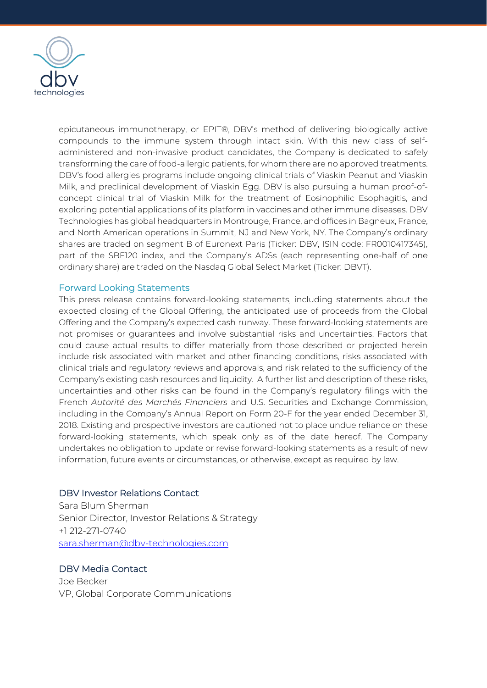

epicutaneous immunotherapy, or EPIT®, DBV's method of delivering biologically active compounds to the immune system through intact skin. With this new class of selfadministered and non-invasive product candidates, the Company is dedicated to safely transforming the care of food-allergic patients, for whom there are no approved treatments. DBV's food allergies programs include ongoing clinical trials of Viaskin Peanut and Viaskin Milk, and preclinical development of Viaskin Egg. DBV is also pursuing a human proof-ofconcept clinical trial of Viaskin Milk for the treatment of Eosinophilic Esophagitis, and exploring potential applications of its platform in vaccines and other immune diseases. DBV Technologies has global headquarters in Montrouge, France, and offices in Bagneux, France, and North American operations in Summit, NJ and New York, NY. The Company's ordinary shares are traded on segment B of Euronext Paris (Ticker: DBV, ISIN code: FR0010417345), part of the SBF120 index, and the Company's ADSs (each representing one-half of one ordinary share) are traded on the Nasdaq Global Select Market (Ticker: DBVT).

### Forward Looking Statements

This press release contains forward-looking statements, including statements about the expected closing of the Global Offering, the anticipated use of proceeds from the Global Offering and the Company's expected cash runway. These forward-looking statements are not promises or guarantees and involve substantial risks and uncertainties. Factors that could cause actual results to differ materially from those described or projected herein include risk associated with market and other financing conditions, risks associated with clinical trials and regulatory reviews and approvals, and risk related to the sufficiency of the Company's existing cash resources and liquidity. A further list and description of these risks, uncertainties and other risks can be found in the Company's regulatory filings with the French *Autorité des Marchés Financiers* and U.S. Securities and Exchange Commission, including in the Company's Annual Report on Form 20-F for the year ended December 31, 2018. Existing and prospective investors are cautioned not to place undue reliance on these forward-looking statements, which speak only as of the date hereof. The Company undertakes no obligation to update or revise forward-looking statements as a result of new information, future events or circumstances, or otherwise, except as required by law.

### DBV Investor Relations Contact

Sara Blum Sherman Senior Director, Investor Relations & Strategy +1 212-271-0740 [sara.sherman@dbv-technologies.com](mailto:sara.sherman@dbv-technologies.com)

# DBV Media Contact

Joe Becker VP, Global Corporate Communications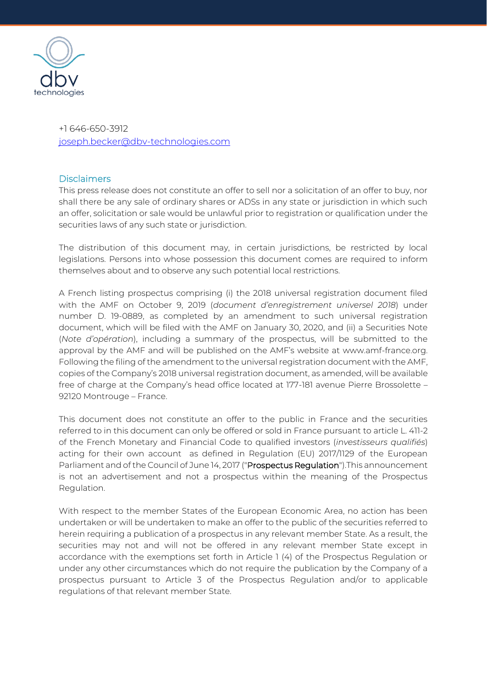

+1 646-650-3912 [joseph.becker@dbv-technologies.com](mailto:joseph.becker@dbv-technologies.com)

### **Disclaimers**

This press release does not constitute an offer to sell nor a solicitation of an offer to buy, nor shall there be any sale of ordinary shares or ADSs in any state or jurisdiction in which such an offer, solicitation or sale would be unlawful prior to registration or qualification under the securities laws of any such state or jurisdiction.

The distribution of this document may, in certain jurisdictions, be restricted by local legislations. Persons into whose possession this document comes are required to inform themselves about and to observe any such potential local restrictions.

A French listing prospectus comprising (i) the 2018 universal registration document filed with the AMF on October 9, 2019 (*document d'enregistrement universel 2018*) under number D. 19-0889, as completed by an amendment to such universal registration document, which will be filed with the AMF on January 30, 2020, and (ii) a Securities Note (*Note d'opération*), including a summary of the prospectus, will be submitted to the approval by the AMF and will be published on the AMF's website at www.amf-france.org. Following the filing of the amendment to the universal registration document with the AMF, copies of the Company's 2018 universal registration document, as amended, will be available free of charge at the Company's head office located at 177-181 avenue Pierre Brossolette – 92120 Montrouge – France.

This document does not constitute an offer to the public in France and the securities referred to in this document can only be offered or sold in France pursuant to article L. 411-2 of the French Monetary and Financial Code to qualified investors (*investisseurs qualifiés*) acting for their own account as defined in Regulation (EU) 2017/1129 of the European Parliament and of the Council of June 14, 2017 ("Prospectus Regulation").This announcement is not an advertisement and not a prospectus within the meaning of the Prospectus Regulation.

With respect to the member States of the European Economic Area, no action has been undertaken or will be undertaken to make an offer to the public of the securities referred to herein requiring a publication of a prospectus in any relevant member State. As a result, the securities may not and will not be offered in any relevant member State except in accordance with the exemptions set forth in Article 1 (4) of the Prospectus Regulation or under any other circumstances which do not require the publication by the Company of a prospectus pursuant to Article 3 of the Prospectus Regulation and/or to applicable regulations of that relevant member State.